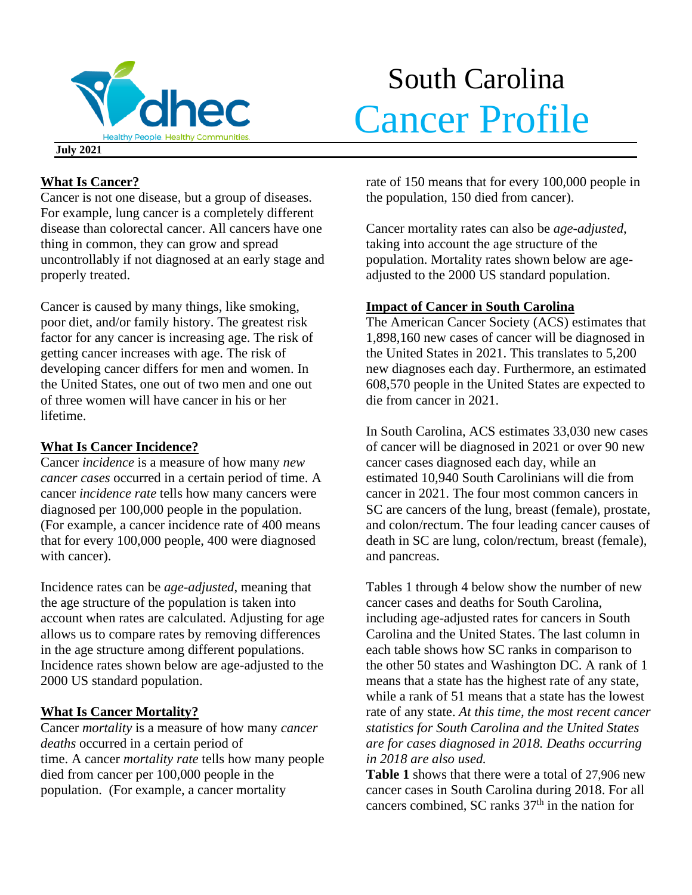

# South Carolina Cancer Profile

**July 2021**

# **What Is Cancer?**

Cancer is not one disease, but a group of diseases. For example, lung cancer is a completely different disease than colorectal cancer. All cancers have one thing in common, they can grow and spread uncontrollably if not diagnosed at an early stage and properly treated.

Cancer is caused by many things, like smoking, poor diet, and/or family history. The greatest risk factor for any cancer is increasing age. The risk of getting cancer increases with age. The risk of developing cancer differs for men and women. In the United States, one out of two men and one out of three women will have cancer in his or her lifetime.

# **What Is Cancer Incidence?**

Cancer *incidence* is a measure of how many *new cancer cases* occurred in a certain period of time. A cancer *incidence rate* tells how many cancers were diagnosed per 100,000 people in the population. (For example, a cancer incidence rate of 400 means that for every 100,000 people, 400 were diagnosed with cancer).

Incidence rates can be *age-adjusted*, meaning that the age structure of the population is taken into account when rates are calculated. Adjusting for age allows us to compare rates by removing differences in the age structure among different populations. Incidence rates shown below are age-adjusted to the 2000 US standard population.

# **What Is Cancer Mortality?**

Cancer *mortality* is a measure of how many *cancer deaths* occurred in a certain period of time. A cancer *mortality rate* tells how many people died from cancer per 100,000 people in the population. (For example, a cancer mortality

rate of 150 means that for every 100,000 people in the population, 150 died from cancer).

Cancer mortality rates can also be *age-adjusted*, taking into account the age structure of the population. Mortality rates shown below are ageadjusted to the 2000 US standard population.

# **Impact of Cancer in South Carolina**

The American Cancer Society (ACS) estimates that 1,898,160 new cases of cancer will be diagnosed in the United States in 2021. This translates to 5,200 new diagnoses each day. Furthermore, an estimated 608,570 people in the United States are expected to die from cancer in 2021.

In South Carolina, ACS estimates 33,030 new cases of cancer will be diagnosed in 2021 or over 90 new cancer cases diagnosed each day, while an estimated 10,940 South Carolinians will die from cancer in 2021. The four most common cancers in SC are cancers of the lung, breast (female), prostate, and colon/rectum. The four leading cancer causes of death in SC are lung, colon/rectum, breast (female), and pancreas.

Tables 1 through 4 below show the number of new cancer cases and deaths for South Carolina, including age-adjusted rates for cancers in South Carolina and the United States. The last column in each table shows how SC ranks in comparison to the other 50 states and Washington DC. A rank of 1 means that a state has the highest rate of any state, while a rank of 51 means that a state has the lowest rate of any state. *At this time, the most recent cancer statistics for South Carolina and the United States are for cases diagnosed in 2018. Deaths occurring in 2018 are also used.*

**Table 1** shows that there were a total of 27,906 new cancer cases in South Carolina during 2018. For all cancers combined, SC ranks  $37<sup>th</sup>$  in the nation for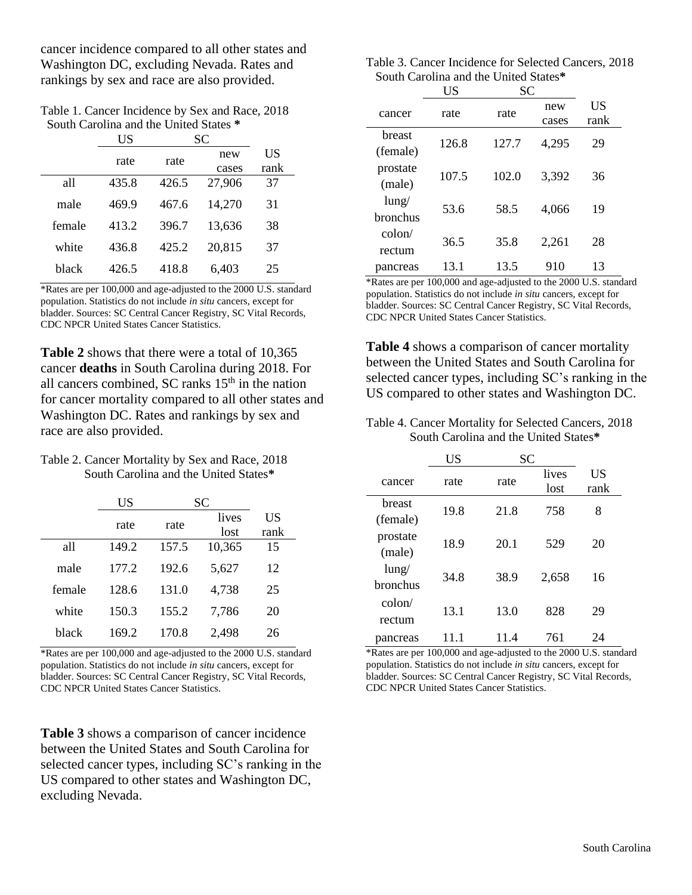cancer incidence compared to all other states and Washington DC, excluding Nevada. Rates and rankings by sex and race are also provided.

| Table 1. Cancer Incidence by Sex and Race, 2018 |  |
|-------------------------------------------------|--|
| South Carolina and the United States *          |  |

 $U\mathbf{S}$  SC

|        | ບມ    | ບບ    |              |            |
|--------|-------|-------|--------------|------------|
|        | rate  | rate  | new<br>cases | US<br>rank |
| all    | 435.8 | 426.5 | 27,906       | 37         |
| male   | 469.9 | 467.6 | 14,270       | 31         |
| female | 413.2 | 396.7 | 13,636       | 38         |
| white  | 436.8 | 425.2 | 20,815       | 37         |
| black  | 426.5 | 418.8 | 6,403        | 25         |

\*Rates are per 100,000 and age-adjusted to the 2000 U.S. standard population. Statistics do not include *in situ* cancers, except for bladder. Sources: SC Central Cancer Registry, SC Vital Records, CDC NPCR United States Cancer Statistics.

**Table 2** shows that there were a total of 10,365 cancer **deaths** in South Carolina during 2018. For all cancers combined, SC ranks 15<sup>th</sup> in the nation for cancer mortality compared to all other states and Washington DC. Rates and rankings by sex and race are also provided.

#### Table 2. Cancer Mortality by Sex and Race, 2018 South Carolina and the United States**\***

|        | US    | SС    |               |            |
|--------|-------|-------|---------------|------------|
|        | rate  | rate  | lives<br>lost | US<br>rank |
| all    | 149.2 | 157.5 | 10,365        | 15         |
| male   | 177.2 | 192.6 | 5.627         | 12         |
| female | 128.6 | 131.0 | 4,738         | 25         |
| white  | 150.3 | 155.2 | 7,786         | 20         |
| black  | 169.2 | 170.8 | 2,498         | 26         |

\*Rates are per 100,000 and age-adjusted to the 2000 U.S. standard population. Statistics do not include *in situ* cancers, except for bladder. Sources: SC Central Cancer Registry, SC Vital Records, CDC NPCR United States Cancer Statistics.

**Table 3** shows a comparison of cancer incidence between the United States and South Carolina for selected cancer types, including SC's ranking in the US compared to other states and Washington DC, excluding Nevada.

| Table 3. Cancer Incidence for Selected Cancers, 2018 |  |
|------------------------------------------------------|--|
| South Carolina and the United States*                |  |

|                           | US    | <b>SC</b> |              |            |  |
|---------------------------|-------|-----------|--------------|------------|--|
| cancer                    | rate  | rate      | new<br>cases | US<br>rank |  |
| <b>breast</b><br>(female) | 126.8 | 127.7     | 4,295        | 29         |  |
| prostate<br>(male)        | 107.5 | 102.0     | 3,392        | 36         |  |
| $l$ ung/<br>bronchus      | 53.6  | 58.5      | 4,066        | 19         |  |
| $\text{colon}/$<br>rectum | 36.5  | 35.8      | 2,261        | 28         |  |
| pancreas                  | 13.1  | 13.5      | 910          | 13         |  |

\*Rates are per 100,000 and age-adjusted to the 2000 U.S. standard population. Statistics do not include *in situ* cancers, except for bladder. Sources: SC Central Cancer Registry, SC Vital Records, CDC NPCR United States Cancer Statistics.

**Table 4** shows a comparison of cancer mortality between the United States and South Carolina for selected cancer types, including SC's ranking in the US compared to other states and Washington DC.

Table 4. Cancer Mortality for Selected Cancers, 2018 South Carolina and the United States**\***

|                           | US   | <b>SC</b> |               |            |
|---------------------------|------|-----------|---------------|------------|
| cancer                    | rate | rate      | lives<br>lost | US<br>rank |
| breast<br>(female)        | 19.8 | 21.8      | 758           | 8          |
| prostate<br>(male)        | 18.9 | 20.1      | 529           | 20         |
| $l$ ung/<br>bronchus      | 34.8 | 38.9      | 2,658         | 16         |
| $\text{colon}/$<br>rectum | 13.1 | 13.0      | 828           | 29         |
| pancreas                  |      | 11.4      | 761           | 24         |

\*Rates are per 100,000 and age-adjusted to the 2000 U.S. standard population. Statistics do not include *in situ* cancers, except for bladder. Sources: SC Central Cancer Registry, SC Vital Records, CDC NPCR United States Cancer Statistics.